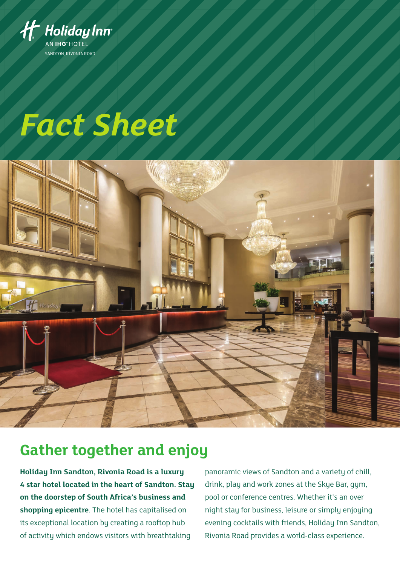

# *Fact Sheet*



## **Gather together and enjoy**

**Holiday Inn Sandton, Rivonia Road is a luxury 4 star hotel located in the heart of Sandton. Stay on the doorstep of South Africa's business and shopping epicentre**. The hotel has capitalised on its exceptional location by creating a rooftop hub of activity which endows visitors with breathtaking

panoramic views of Sandton and a variety of chill, drink, play and work zones at the Skye Bar, gym, pool or conference centres. Whether it's an over night stay for business, leisure or simply enjoying evening cocktails with friends, Holiday Inn Sandton, Rivonia Road provides a world-class experience.